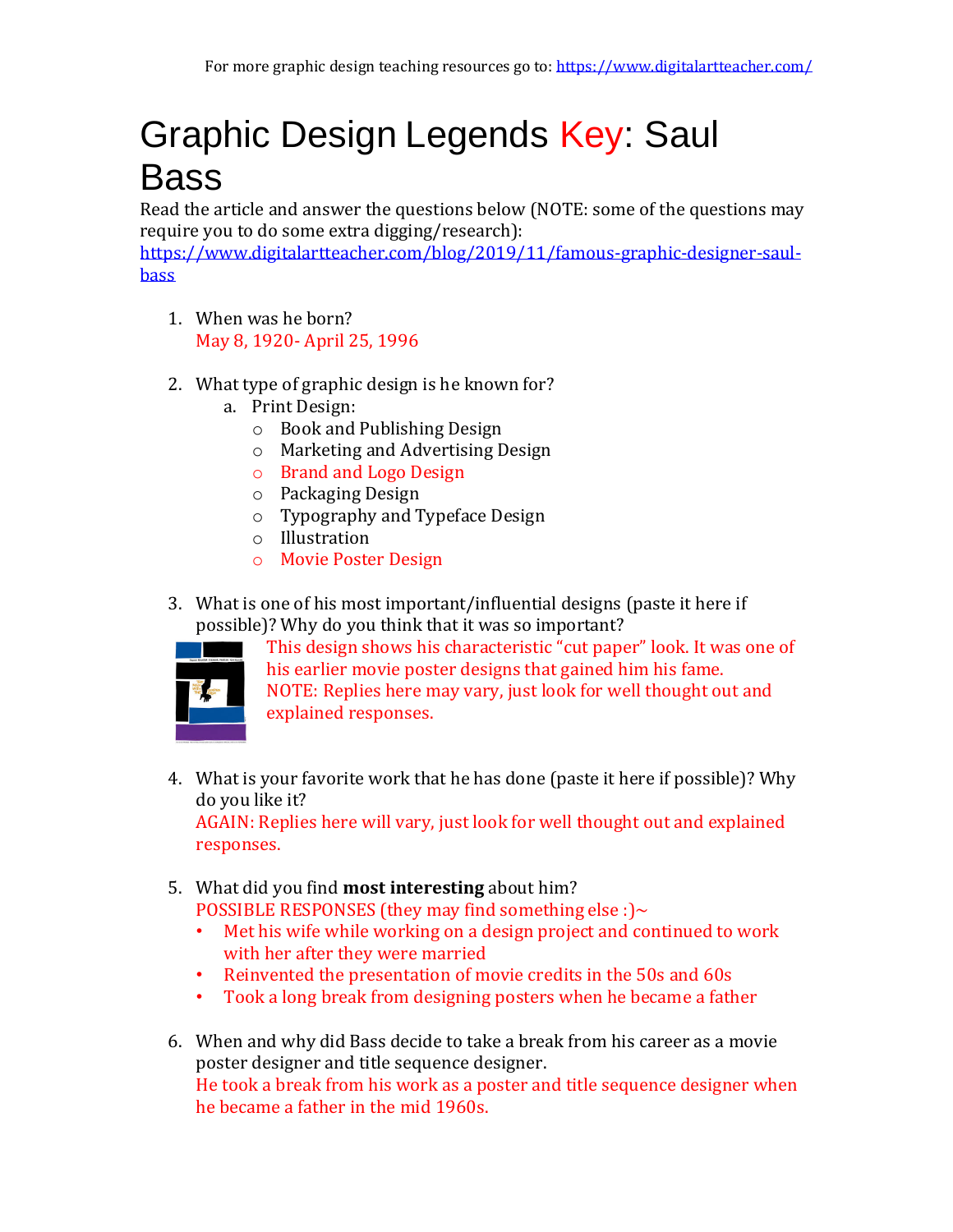## Graphic Design Legends Key: Saul Bass

Read the article and answer the questions below (NOTE: some of the questions may require you to do some extra digging/research):

[https://www.digitalartteacher.com/blog/2019/11/famous-graphic-designer-saul](https://www.digitalartteacher.com/blog/2019/11/famous-graphic-designer-saul-bass)[bass](https://www.digitalartteacher.com/blog/2019/11/famous-graphic-designer-saul-bass)

- 1. When was he born? May 8, 1920- April 25, 1996
- 2. What type of graphic design is he known for?
	- a. Print Design:
		- o Book and Publishing Design
		- o Marketing and Advertising Design
		- o Brand and Logo Design
		- o Packaging Design
		- o Typography and Typeface Design
		- o Illustration
		- o Movie Poster Design
- 3. What is one of his most important/influential designs (paste it here if possible)? Why do you think that it was so important?



This design shows his characteristic "cut paper" look. It was one of his earlier movie poster designs that gained him his fame. NOTE: Replies here may vary, just look for well thought out and explained responses.

4. What is your favorite work that he has done (paste it here if possible)? Why do you like it?

AGAIN: Replies here will vary, just look for well thought out and explained responses.

- 5. What did you find **most interesting** about him? POSSIBLE RESPONSES (they may find something else :) $\sim$ 
	- Met his wife while working on a design project and continued to work with her after they were married
	- Reinvented the presentation of movie credits in the 50s and 60s
	- Took a long break from designing posters when he became a father
- 6. When and why did Bass decide to take a break from his career as a movie poster designer and title sequence designer. He took a break from his work as a poster and title sequence designer when he became a father in the mid 1960s.